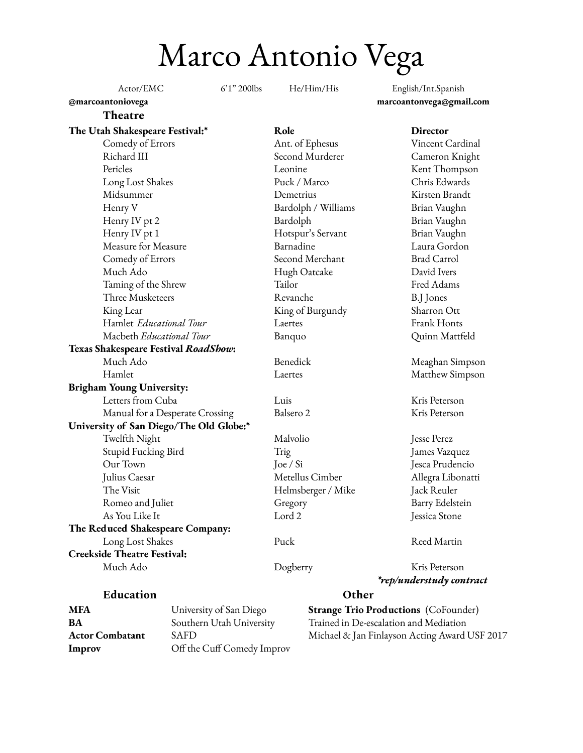Marco Antonio Vega

| Actor/EMC |
|-----------|
|-----------|

6'1" 200lbs He/Him/His English/Int.Spanish **@marcoantoniovega marcoantonvega@gmail.com**

## **Theatre**

**The Utah Shakespeare Festival:\* Role Director** Comedy of Errors Ant. of Ephesus Vincent Cardinal Richard III Second Murderer Cameron Knight Pericles **Example 2** Leonine Kent Thompson Long Lost Shakes Puck / Marco Chris Edwards Midsummer Demetrius Kirsten Brandt Henry V Bardolph / Williams Brian Vaughn Henry IV pt 2 Bardolph Bardolph Brian Vaughn Henry IV pt 1 Hotspur's Servant Brian Vaughn Measure for Measure Barnadine Laura Gordon Comedy of Errors Second Merchant Brad Carrol Much Ado Hugh Oatcake David Ivers Taming of the Shrew Tailor Fred Adams Three Musketeers Revanche B.J Jones King Lear North Communist Communist Communist Communist Communist Communist Communist Communist Communist Comm Hamlet *Educational Tour* Laertes Frank Honts Macbeth *Educational Tour* Banquo Quinn Mattfeld **Texas Shakespeare Festival** *RoadShow***:** Much Ado Benedick Meaghan Simpson Hamlet Laertes Matthew Simpson **Brigham Young University:** Letters from Cuba Luis Luis Kris Peterson Manual for a Desperate Crossing Balsero 2 Kris Peterson **University of San Diego/The Old Globe:\*** Twelfth Night Malvolio Malvolio Jesse Perez Stupid Fucking Bird Trig James Vazquez Our Town Joe / Si Jesca Prudencio Julius Caesar Metellus Cimber Allegra Libonatti The Visit **Helmsberger / Mike** Jack Reuler Romeo and Juliet Gregory Gregory Barry Edelstein As You Like It Lord 2 Jessica Stone **The Reduced Shakespeare Company:** Long Lost Shakes Puck Reed Martin **Creekside Theatre Festival:** Much Ado Dogberry Kris Peterson *\*rep/understudy contract* **Education Other**

**Improv** Off the Cuff Comedy Improv

**MFA** University of San Diego **Strange Trio Productions** (CoFounder) **BA** Southern Utah University Trained in De-escalation and Mediation **Actor Combatant** SAFD Michael & Jan Finlayson Acting Award USF 2017